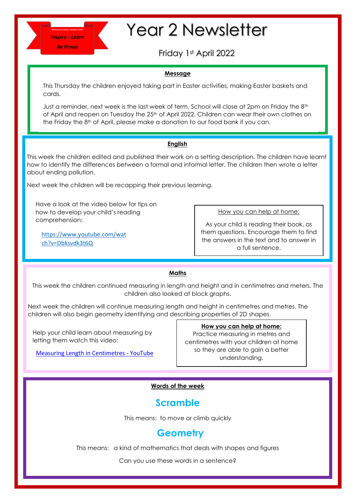# Year 2 Newsletter

Friday 1st April 2022

# **Message**

This Thursday the children enjoyed taking part in Easter activities, making Easter baskets and cards.

Just a reminder, next week is the last week of term. School will close at 2pm on Friday the 8<sup>th</sup> of April and reopen on Tuesday the 25<sup>th</sup> of April 2022. Children can wear their own clothes on the Friday the 8th of April, please make a donation to our food bank if you can.

# **English**

This week the children edited and published their work on a setting description. The children have learnt how to identify the differences between a formal and informal letter. The children then wrote a letter about ending pollution.

Next week the children will be recapping their previous learning.

Have a look at the video below for tips on how to develop your child's reading comprehension:

[https://www.youtube.com/wat](https://www.youtube.com/watch?v=Dbksvdk3t6Q) [ch?v=Dbksvdk3t6Q](https://www.youtube.com/watch?v=Dbksvdk3t6Q)

How you can help at home:

As your child is reading their book, as them questions. Encourage them to find the answers in the text and to answer in a full sentence.

## **Maths**

This week the children continued measuring in length and height and in centimetres and meters. The children also looked at block graphs.

Next week the children will continue measuring length and height in centimetres and metres. The children will also begin geometry identifying and describing properties of 2D shapes.

Help your child learn about measuring by letting them watch this video:

[Measuring Length in Centimetres -](https://www.youtube.com/watch?v=tuBLuIW1U70) YouTube

## **How you can help at home:**

Practice measuring in metres and centimetres with your children at home so they are able to gain a better understanding.

# **Words of the week**

# **Scramble**

This means: to move or climb quickly

# **Geometry**

This means: a kind of mathematics that deals with shapes and figures

Can you use these words in a sentence?